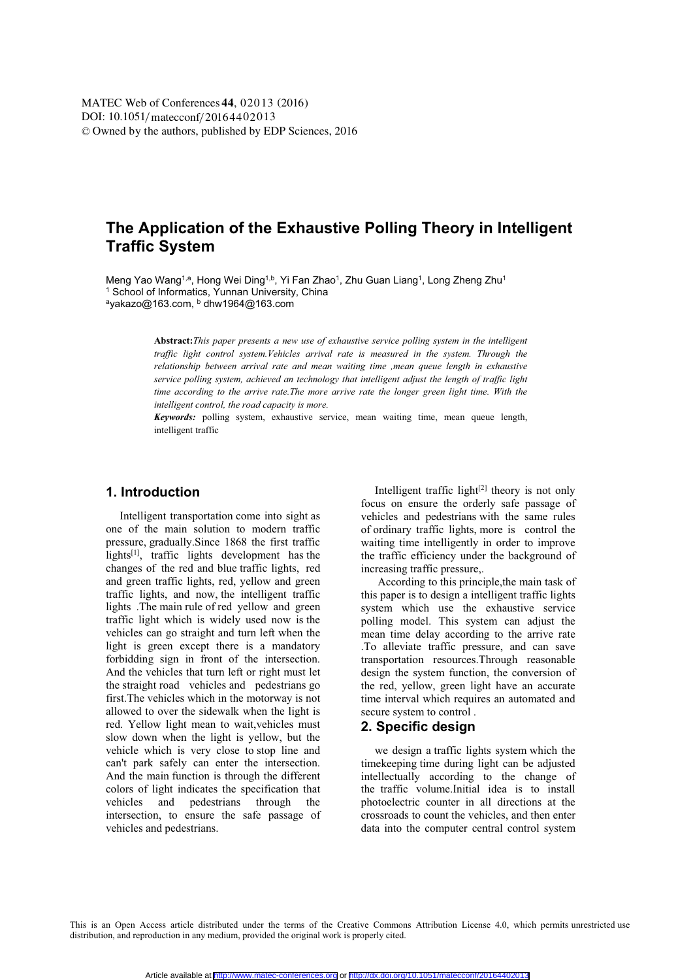DOI: 10.1051/matecconf/20164402013 © Owned by the authors, published by EDP Sciences, 2016 MATEC Web of Conferences 44, 02013 (2016)

# **The Application of the Exhaustive Polling Theory in Intelligent Traffic System**

Meng Yao Wang<sup>1,a</sup>, Hong Wei Ding<sup>1,b</sup>, Yi Fan Zhao<sup>1</sup>, Zhu Guan Liang<sup>1</sup>, Long Zheng Zhu<sup>1</sup> 1 School of Informatics, Yunnan University, China  $a$ vakazo@163.com,  $b$  dhw1964@163.com

> **Abstract:***This paper presents a new use of exhaustive service polling system in the intelligent traffic light control system.Vehicles arrival rate is measured in the system. Through the relationship between arrival rate and mean waiting time ,mean queue length in exhaustive service polling system, achieved an technology that intelligent adjust the length of traffic light time according to the arrive rate.The more arrive rate the longer green light time. With the intelligent control, the road capacity is more.*

> *Keywords:* polling system, exhaustive service, mean waiting time, mean queue length, intelligent traffic

### **1. Introduction**

Intelligent transportation come into sight as one of the main solution to modern traffic pressure, gradually.Since 1868 the first traffic lights<sup>[1]</sup>, traffic lights development has the changes of the red and blue traffic lights, red and green traffic lights, red, yellow and green traffic lights, and now, the intelligent traffic lights .The main rule of red yellow and green traffic light which is widely used now is the vehicles can go straight and turn left when the light is green except there is a mandatory forbidding sign in front of the intersection. And the vehicles that turn left or right must let the straight road vehicles and pedestrians go first.The vehicles which in the motorway is not allowed to over the sidewalk when the light is red. Yellow light mean to wait,vehicles must slow down when the light is yellow, but the vehicle which is very close to stop line and can't park safely can enter the intersection. And the main function is through the different colors of light indicates the specification that vehicles and pedestrians through the intersection, to ensure the safe passage of vehicles and pedestrians.

Intelligent traffic light $[2]$  theory is not only focus on ensure the orderly safe passage of vehicles and pedestrians with the same rules of ordinary traffic lights, more is control the waiting time intelligently in order to improve the traffic efficiency under the background of increasing traffic pressure,.

 According to this principle,the main task of this paper is to design a intelligent traffic lights system which use the exhaustive service polling model. This system can adjust the mean time delay according to the arrive rate .To alleviate traffic pressure, and can save transportation resources.Through reasonable design the system function, the conversion of the red, yellow, green light have an accurate time interval which requires an automated and secure system to control .

### **2. Specific design**

we design a traffic lights system which the timekeeping time during light can be adjusted intellectually according to the change of the traffic volume.Initial idea is to install photoelectric counter in all directions at the crossroads to count the vehicles, and then enter data into the computer central control system

This is an Open Access article distributed under the terms of the Creative Commons Attribution License 4.0, which permits unrestricted use distribution, and reproduction in any medium, provided the original work is properly cited.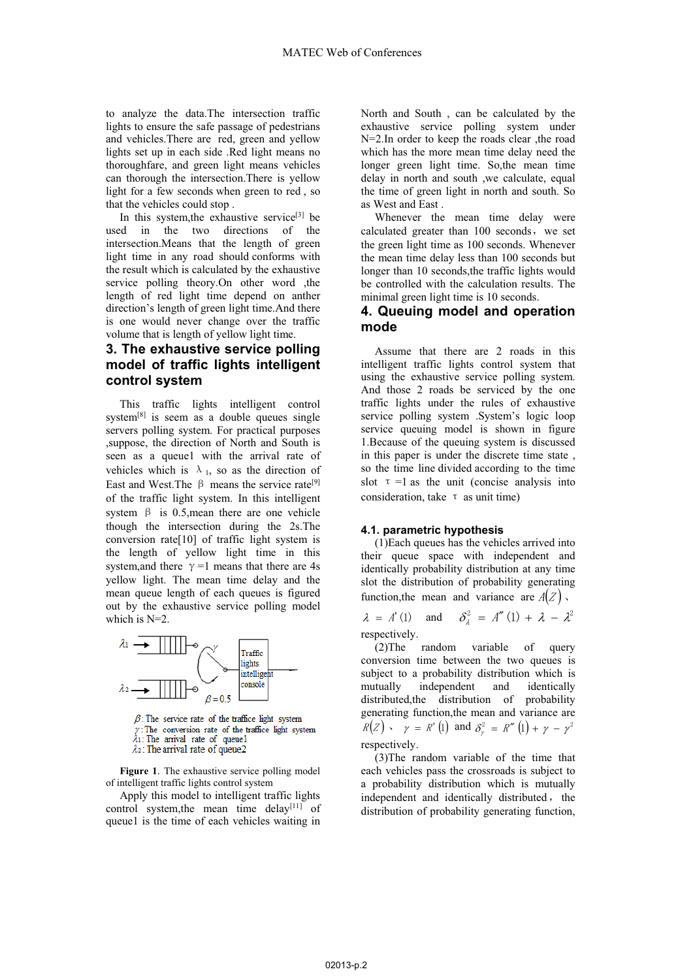to analyze the data.The intersection traffic lights to ensure the safe passage of pedestrians and vehicles.There are red, green and yellow lights set up in each side .Red light means no thoroughfare, and green light means vehicles can thorough the intersection.There is yellow light for a few seconds when green to red , so that the vehicles could stop .

In this system, the exhaustive service<sup>[3]</sup> be used in the two directions of the intersection.Means that the length of green light time in any road should conforms with the result which is calculated by the exhaustive service polling theory.On other word ,the length of red light time depend on anther direction's length of green light time.And there is one would never change over the traffic volume that is length of yellow light time.

## **3. The exhaustive service polling model of traffic lights intelligent control system**

This traffic lights intelligent control system<sup>[8]</sup> is seem as a double queues single servers polling system. For practical purposes ,suppose, the direction of North and South is seen as a queue1 with the arrival rate of vehicles which is  $\lambda_1$ , so as the direction of East and West. The  $\beta$  means the service rate<sup>[9]</sup> of the traffic light system. In this intelligent system  $\beta$  is 0.5, mean there are one vehicle though the intersection during the 2s.The conversion rate[10] of traffic light system is the length of yellow light time in this system, and there  $\gamma = 1$  means that there are 4s yellow light. The mean time delay and the mean queue length of each queues is figured out by the exhaustive service polling model which is N=2.



 $\beta$ : The service rate of the traffice light system  $\gamma$ : The conversion rate of the traffice light system  $\lambda_1$ : The arrival rate of queuel  $\lambda_2$ : The arrival rate of queue2

**Figure 1**. The exhaustive service polling model of intelligent traffic lights control system

Apply this model to intelligent traffic lights control system,the mean time delay<sup>[11]</sup> of queue1 is the time of each vehicles waiting in North and South , can be calculated by the exhaustive service polling system under N=2.In order to keep the roads clear ,the road which has the more mean time delay need the longer green light time. So,the mean time delay in north and south ,we calculate, equal the time of green light in north and south. So as West and East .

Whenever the mean time delay were calculated greater than 100 seconds, we set the green light time as 100 seconds. Whenever the mean time delay less than 100 seconds but longer than 10 seconds,the traffic lights would be controlled with the calculation results. The minimal green light time is 10 seconds.

## **4. Queuing model and operation mode**

Assume that there are 2 roads in this intelligent traffic lights control system that using the exhaustive service polling system. And those 2 roads be serviced by the one traffic lights under the rules of exhaustive service polling system .System's logic loop service queuing model is shown in figure 1.Because of the queuing system is discussed in this paper is under the discrete time state , so the time line divided according to the time slot  $\tau = 1$  as the unit (concise analysis into consideration, take  $\tau$  as unit time)

#### **4.1. parametric hypothesis**

(1)Each queues has the vehicles arrived into their queue space with independent and identically probability distribution at any time slot the distribution of probability generating function, the mean and variance are  $A(Z)$ .

 $\lambda = A'(1)$  and  $\delta_{\lambda}^2 = A''(1) + \lambda - \lambda^2$ respectively.

(2)The random variable of query conversion time between the two queues is subject to a probability distribution which is mutually independent and identically distributed,the distribution of probability generating function,the mean and variance are  $F(X)$   $\gamma = F'(1)$  and  $\delta_{\gamma}^{2} = F''(1) + \gamma - \gamma^{2}$ respectively.

(3)The random variable of the time that each vehicles pass the crossroads is subject to a probability distribution which is mutually independent and identically distributed, the distribution of probability generating function,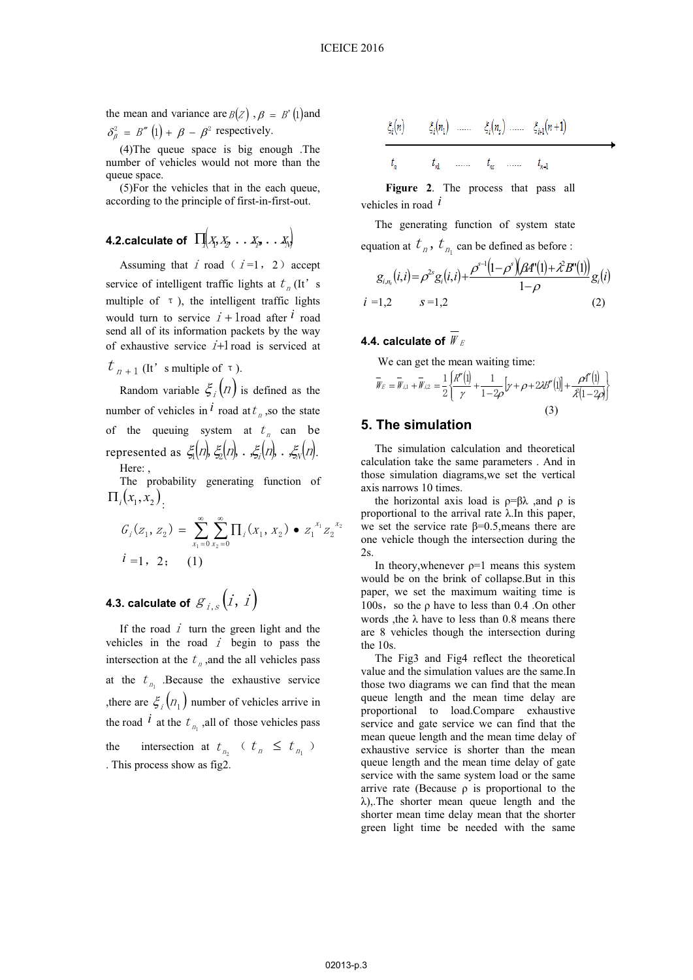the mean and variance are  $B(Z)$ ,  $\beta = B'(1)$  and  $\delta_{\beta}^2 = B''(1) + \beta - \beta^2$  respectively.

(4)The queue space is big enough .The number of vehicles would not more than the queue space.

(5)For the vehicles that in the each queue, according to the principle of first-in-first-out.

**4.2.calculate of** 
$$
\Pi
$$
  $(X_1, X_2, \ldots, X_n, \ldots, X_n)$ 

Assuming that  $i$  road  $(i=1, 2)$  accept service of intelligent traffic lights at  $t_n$  (It's multiple of  $\tau$ ), the intelligent traffic lights would turn to service  $\vec{l}$  + 1 road after  $\vec{l}$  road send all of its information packets by the way of exhaustive service  $1+1$  road is serviced at

$$
t_{n+1}
$$
 (It' *s* multiple of  $\tau$ ).

Random variable  $\mathcal{E}_i(n)$  is defined as the number of vehicles in  $\hat{l}$  road at  $t_n$ , so the state of the queuing system at  $t_n$  can be represented as  $\xi_1(n), \xi_2(n), \xi_3(n), \xi_4(n)$ . Here:

The probability generating function of  $\Pi_i(x_1, x_2)$ :

$$
G_i(z_1, z_2) = \sum_{x_1=0}^{\infty} \sum_{x_2=0}^{\infty} \prod_i (x_1, x_2) \bullet z_1^{x_1} z_2^{x_2}
$$
  
 $i = 1, 2; (1)$ 

# **4.3. calculate of**  ${\cal S}_{\,i,s}\bigl(i,\,i\bigr)$

If the road  $\vec{l}$  turn the green light and the vehicles in the road  $\vec{l}$  begin to pass the intersection at the  $t_n$ , and the all vehicles pass at the  $t_{n_i}$  .Because the exhaustive service , there are  $\zeta_i(n_1)$  number of vehicles arrive in the road  $\hat{i}$  at the  $t_{n}$ , all of those vehicles pass the intersection at  $t_{n_2}$  (  $t_n \leq t_{n_1}$  ) . This process show as fig2.

$$
\begin{array}{ccccccccc}\n\kappa_{i}(n) & \xi_{i}(n_{1}) & \dots & \xi_{i}(n_{s}) & \dots & \xi_{i+1}(n+1) \\
\hline\n t_{n} & t_{n1} & \dots & t_{n1} & \dots & t_{n+1}\n\end{array}
$$

**Figure 2**. The process that pass all vehicles in road *i*

The generating function of system state equation at  $t_n$ ,  $t_{n_1}$  can be defined as before :

$$
g_{i,n_s}(i,i) = \rho^{2s} g_i(i,i) + \frac{\rho^{s-1}(1-\rho^s)(\beta A^r(1) + \lambda^2 B^r(1))}{1-\rho} g_i(i)
$$
  
  $i = 1,2$   $s = 1,2$  (2)

# **4.4. calculate of**  $W_{\text{A}}$

We can get the mean waiting time:

$$
\overline{\psi}_{E} = \overline{\psi}_{i,1} + \overline{\psi}_{i,2} = \frac{1}{2} \left\{ \frac{R''(1)}{\gamma} + \frac{1}{1 - 2\rho} \left[ \gamma + \rho + 2\lambda B''(1) \right] + \frac{\rho \mathbf{f}'(1)}{\mathcal{R}(1 - 2\rho)} \right\}
$$
\n(3)

### **5. The simulation**

The simulation calculation and theoretical calculation take the same parameters . And in those simulation diagrams,we set the vertical axis narrows 10 times.

the horizontal axis load is  $\rho = \beta \lambda$ , and  $\rho$  is proportional to the arrival rate  $\lambda$ . In this paper, we set the service rate  $\beta=0.5$ , means there are one vehicle though the intersection during the 2s.

In theory, whenever  $\rho=1$  means this system would be on the brink of collapse.But in this paper, we set the maximum waiting time is 100s, so the  $\rho$  have to less than 0.4 .On other words , the  $\lambda$  have to less than 0.8 means there are 8 vehicles though the intersection during the 10s.

The Fig3 and Fig4 reflect the theoretical value and the simulation values are the same.In those two diagrams we can find that the mean queue length and the mean time delay are proportional to load.Compare exhaustive service and gate service we can find that the mean queue length and the mean time delay of exhaustive service is shorter than the mean queue length and the mean time delay of gate service with the same system load or the same arrive rate (Because  $\rho$  is proportional to the  $\lambda$ ),. The shorter mean queue length and the shorter mean time delay mean that the shorter green light time be needed with the same